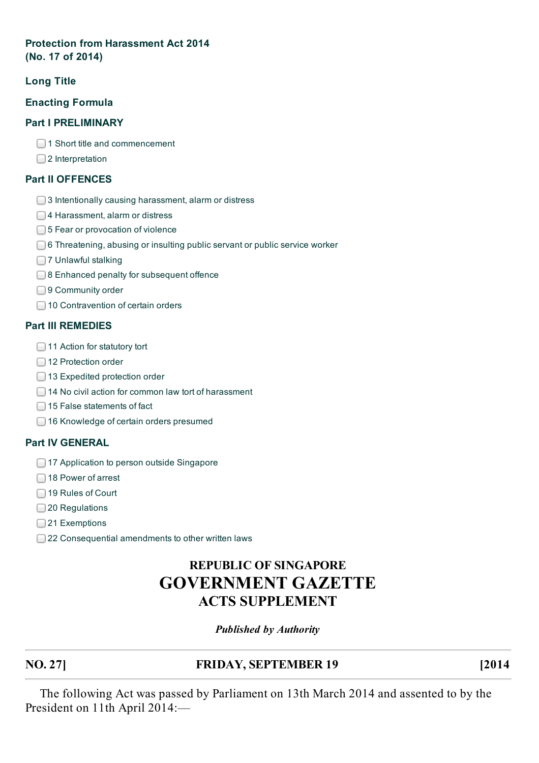#### **Protection from [Harassment](http://statutes.agc.gov.sg/aol/search/display/printView.w3p;ident=11fca42f-7025-4c68-9af9-b222d8d795e1;page=0;query=CompId%3A11fca42f-7025-4c68-9af9-b222d8d795e1;rec=0;resUrl=http%3A%2F%2Fstatutes.agc.gov.sg%2Faol%2Fbrowse%2FyearResults.w3p%3Btype%3DactsSup%3Byear%3D2014#legis) Act 2014 (No. 17 of 2014)**

## **[Long](http://statutes.agc.gov.sg/aol/search/display/printView.w3p;ident=cc3c7b0e-d8f6-4255-ae6b-4d4a324e4716;page=0;query=CompId%3A11fca42f-7025-4c68-9af9-b222d8d795e1;rec=0;resUrl=http%3A%2F%2Fstatutes.agc.gov.sg%2Faol%2Fbrowse%2FyearResults.w3p%3Btype%3DactsSup%3Byear%3D2014#al-.) Title**

## **[Enacting](http://statutes.agc.gov.sg/aol/search/display/printView.w3p;ident=430d4d82-b0b3-427d-9e85-59d6f4be9e17;page=0;query=CompId%3A11fca42f-7025-4c68-9af9-b222d8d795e1;rec=0;resUrl=http%3A%2F%2Fstatutes.agc.gov.sg%2Faol%2Fbrowse%2FyearResults.w3p%3Btype%3DactsSup%3Byear%3D2014#aw-.) Formula**

#### **Part I [PRELIMINARY](http://statutes.agc.gov.sg/aol/search/display/printView.w3p;ident=3358a1c1-17b1-4b3a-b284-4b4a34c22b36;page=0;query=CompId%3A11fca42f-7025-4c68-9af9-b222d8d795e1;rec=0;resUrl=http%3A%2F%2Fstatutes.agc.gov.sg%2Faol%2Fbrowse%2FyearResults.w3p%3Btype%3DactsSup%3Byear%3D2014#P1I-.)**

- **□1 Short title and [commencement](http://statutes.agc.gov.sg/aol/search/display/printView.w3p;ident=3358a1c1-17b1-4b3a-b284-4b4a34c22b36;page=0;query=CompId%3A11fca42f-7025-4c68-9af9-b222d8d795e1;rec=0;resUrl=http%3A%2F%2Fstatutes.agc.gov.sg%2Faol%2Fbrowse%2FyearResults.w3p%3Btype%3DactsSup%3Byear%3D2014#pr1-he-.)**
- □2 [Interpretation](http://statutes.agc.gov.sg/aol/search/display/printView.w3p;ident=3358a1c1-17b1-4b3a-b284-4b4a34c22b36;page=0;query=CompId%3A11fca42f-7025-4c68-9af9-b222d8d795e1;rec=0;resUrl=http%3A%2F%2Fstatutes.agc.gov.sg%2Faol%2Fbrowse%2FyearResults.w3p%3Btype%3DactsSup%3Byear%3D2014#pr2-he-.)

#### **Part II [OFFENCES](http://statutes.agc.gov.sg/aol/search/display/printView.w3p;ident=8ae676d1-0759-4b1f-8656-f1c460076b09;page=0;query=CompId%3A11fca42f-7025-4c68-9af9-b222d8d795e1;rec=0;resUrl=http%3A%2F%2Fstatutes.agc.gov.sg%2Faol%2Fbrowse%2FyearResults.w3p%3Btype%3DactsSup%3Byear%3D2014#P1II-.)**

- **3 Intentionally causing [harassment,](http://statutes.agc.gov.sg/aol/search/display/printView.w3p;ident=8ae676d1-0759-4b1f-8656-f1c460076b09;page=0;query=CompId%3A11fca42f-7025-4c68-9af9-b222d8d795e1;rec=0;resUrl=http%3A%2F%2Fstatutes.agc.gov.sg%2Faol%2Fbrowse%2FyearResults.w3p%3Btype%3DactsSup%3Byear%3D2014#pr3-he-.) alarm or distress**
- **□4 [Harassment,](http://statutes.agc.gov.sg/aol/search/display/printView.w3p;ident=8ae676d1-0759-4b1f-8656-f1c460076b09;page=0;query=CompId%3A11fca42f-7025-4c68-9af9-b222d8d795e1;rec=0;resUrl=http%3A%2F%2Fstatutes.agc.gov.sg%2Faol%2Fbrowse%2FyearResults.w3p%3Btype%3DactsSup%3Byear%3D2014#pr4-he-.) alarm or distress**
- **■5 Fear or [provocation](http://statutes.agc.gov.sg/aol/search/display/printView.w3p;ident=8ae676d1-0759-4b1f-8656-f1c460076b09;page=0;query=CompId%3A11fca42f-7025-4c68-9af9-b222d8d795e1;rec=0;resUrl=http%3A%2F%2Fstatutes.agc.gov.sg%2Faol%2Fbrowse%2FyearResults.w3p%3Btype%3DactsSup%3Byear%3D2014#pr5-he-.) of violence**
- **■6 [Threatening,](http://statutes.agc.gov.sg/aol/search/display/printView.w3p;ident=8ae676d1-0759-4b1f-8656-f1c460076b09;page=0;query=CompId%3A11fca42f-7025-4c68-9af9-b222d8d795e1;rec=0;resUrl=http%3A%2F%2Fstatutes.agc.gov.sg%2Faol%2Fbrowse%2FyearResults.w3p%3Btype%3DactsSup%3Byear%3D2014#pr6-he-.) abusing or insulting public servant or public service worker**
- 7 [Unlawful](http://statutes.agc.gov.sg/aol/search/display/printView.w3p;ident=8ae676d1-0759-4b1f-8656-f1c460076b09;page=0;query=CompId%3A11fca42f-7025-4c68-9af9-b222d8d795e1;rec=0;resUrl=http%3A%2F%2Fstatutes.agc.gov.sg%2Faol%2Fbrowse%2FyearResults.w3p%3Btype%3DactsSup%3Byear%3D2014#pr7-he-.) stalking
- **■8 Enhanced penalty for [subsequent](http://statutes.agc.gov.sg/aol/search/display/printView.w3p;ident=8ae676d1-0759-4b1f-8656-f1c460076b09;page=0;query=CompId%3A11fca42f-7025-4c68-9af9-b222d8d795e1;rec=0;resUrl=http%3A%2F%2Fstatutes.agc.gov.sg%2Faol%2Fbrowse%2FyearResults.w3p%3Btype%3DactsSup%3Byear%3D2014#pr8-he-.) offence**
- 9 [Community](http://statutes.agc.gov.sg/aol/search/display/printView.w3p;ident=8ae676d1-0759-4b1f-8656-f1c460076b09;page=0;query=CompId%3A11fca42f-7025-4c68-9af9-b222d8d795e1;rec=0;resUrl=http%3A%2F%2Fstatutes.agc.gov.sg%2Faol%2Fbrowse%2FyearResults.w3p%3Btype%3DactsSup%3Byear%3D2014#pr9-he-.) order
- **□ 10 [Contravention](http://statutes.agc.gov.sg/aol/search/display/printView.w3p;ident=8ae676d1-0759-4b1f-8656-f1c460076b09;page=0;query=CompId%3A11fca42f-7025-4c68-9af9-b222d8d795e1;rec=0;resUrl=http%3A%2F%2Fstatutes.agc.gov.sg%2Faol%2Fbrowse%2FyearResults.w3p%3Btype%3DactsSup%3Byear%3D2014#pr10-he-.) of certain orders**

#### **Part III [REMEDIES](http://statutes.agc.gov.sg/aol/search/display/printView.w3p;ident=146fadff-6619-45f3-a11a-be2fbaca04e3;page=0;query=CompId%3A11fca42f-7025-4c68-9af9-b222d8d795e1;rec=0;resUrl=http%3A%2F%2Fstatutes.agc.gov.sg%2Faol%2Fbrowse%2FyearResults.w3p%3Btype%3DactsSup%3Byear%3D2014#P1III-.)**

- **□ 11 Action for [statutory](http://statutes.agc.gov.sg/aol/search/display/printView.w3p;ident=146fadff-6619-45f3-a11a-be2fbaca04e3;page=0;query=CompId%3A11fca42f-7025-4c68-9af9-b222d8d795e1;rec=0;resUrl=http%3A%2F%2Fstatutes.agc.gov.sg%2Faol%2Fbrowse%2FyearResults.w3p%3Btype%3DactsSup%3Byear%3D2014#pr11-he-.) tort**
- 12 [Protection](http://statutes.agc.gov.sg/aol/search/display/printView.w3p;ident=146fadff-6619-45f3-a11a-be2fbaca04e3;page=0;query=CompId%3A11fca42f-7025-4c68-9af9-b222d8d795e1;rec=0;resUrl=http%3A%2F%2Fstatutes.agc.gov.sg%2Faol%2Fbrowse%2FyearResults.w3p%3Btype%3DactsSup%3Byear%3D2014#pr12-he-.) order
- **□ 13 [Expedited](http://statutes.agc.gov.sg/aol/search/display/printView.w3p;ident=146fadff-6619-45f3-a11a-be2fbaca04e3;page=0;query=CompId%3A11fca42f-7025-4c68-9af9-b222d8d795e1;rec=0;resUrl=http%3A%2F%2Fstatutes.agc.gov.sg%2Faol%2Fbrowse%2FyearResults.w3p%3Btype%3DactsSup%3Byear%3D2014#pr13-he-.) protection order**
- □ 14 No civil action for common law tort of [harassment](http://statutes.agc.gov.sg/aol/search/display/printView.w3p;ident=146fadff-6619-45f3-a11a-be2fbaca04e3;page=0;query=CompId%3A11fca42f-7025-4c68-9af9-b222d8d795e1;rec=0;resUrl=http%3A%2F%2Fstatutes.agc.gov.sg%2Faol%2Fbrowse%2FyearResults.w3p%3Btype%3DactsSup%3Byear%3D2014#pr14-he-.)
- **□ 15 False [statements](http://statutes.agc.gov.sg/aol/search/display/printView.w3p;ident=146fadff-6619-45f3-a11a-be2fbaca04e3;page=0;query=CompId%3A11fca42f-7025-4c68-9af9-b222d8d795e1;rec=0;resUrl=http%3A%2F%2Fstatutes.agc.gov.sg%2Faol%2Fbrowse%2FyearResults.w3p%3Btype%3DactsSup%3Byear%3D2014#pr15-he-.) of fact**
- **□ 16 [Knowledge](http://statutes.agc.gov.sg/aol/search/display/printView.w3p;ident=146fadff-6619-45f3-a11a-be2fbaca04e3;page=0;query=CompId%3A11fca42f-7025-4c68-9af9-b222d8d795e1;rec=0;resUrl=http%3A%2F%2Fstatutes.agc.gov.sg%2Faol%2Fbrowse%2FyearResults.w3p%3Btype%3DactsSup%3Byear%3D2014#pr16-he-.) of certain orders presumed**

#### **Part IV [GENERAL](http://statutes.agc.gov.sg/aol/search/display/printView.w3p;ident=07eabf52-ecfb-4015-ab7c-2aefe818b8a2;page=0;query=CompId%3A11fca42f-7025-4c68-9af9-b222d8d795e1;rec=0;resUrl=http%3A%2F%2Fstatutes.agc.gov.sg%2Faol%2Fbrowse%2FyearResults.w3p%3Btype%3DactsSup%3Byear%3D2014#P1IV-.)**

- 17 [Application](http://statutes.agc.gov.sg/aol/search/display/printView.w3p;ident=07eabf52-ecfb-4015-ab7c-2aefe818b8a2;page=0;query=CompId%3A11fca42f-7025-4c68-9af9-b222d8d795e1;rec=0;resUrl=http%3A%2F%2Fstatutes.agc.gov.sg%2Faol%2Fbrowse%2FyearResults.w3p%3Btype%3DactsSup%3Byear%3D2014#pr17-he-.) to person outside Singapore
- **□ 18 [Power](http://statutes.agc.gov.sg/aol/search/display/printView.w3p;ident=07eabf52-ecfb-4015-ab7c-2aefe818b8a2;page=0;query=CompId%3A11fca42f-7025-4c68-9af9-b222d8d795e1;rec=0;resUrl=http%3A%2F%2Fstatutes.agc.gov.sg%2Faol%2Fbrowse%2FyearResults.w3p%3Btype%3DactsSup%3Byear%3D2014#pr18-he-.) of arrest**
- □ 19 [Rules](http://statutes.agc.gov.sg/aol/search/display/printView.w3p;ident=07eabf52-ecfb-4015-ab7c-2aefe818b8a2;page=0;query=CompId%3A11fca42f-7025-4c68-9af9-b222d8d795e1;rec=0;resUrl=http%3A%2F%2Fstatutes.agc.gov.sg%2Faol%2Fbrowse%2FyearResults.w3p%3Btype%3DactsSup%3Byear%3D2014#pr19-he-.) of Court
- 20 [Regulations](http://statutes.agc.gov.sg/aol/search/display/printView.w3p;ident=07eabf52-ecfb-4015-ab7c-2aefe818b8a2;page=0;query=CompId%3A11fca42f-7025-4c68-9af9-b222d8d795e1;rec=0;resUrl=http%3A%2F%2Fstatutes.agc.gov.sg%2Faol%2Fbrowse%2FyearResults.w3p%3Btype%3DactsSup%3Byear%3D2014#pr20-he-.)
- 21 [Exemptions](http://statutes.agc.gov.sg/aol/search/display/printView.w3p;ident=07eabf52-ecfb-4015-ab7c-2aefe818b8a2;page=0;query=CompId%3A11fca42f-7025-4c68-9af9-b222d8d795e1;rec=0;resUrl=http%3A%2F%2Fstatutes.agc.gov.sg%2Faol%2Fbrowse%2FyearResults.w3p%3Btype%3DactsSup%3Byear%3D2014#pr21-he-.)
- 22 [Consequential](http://statutes.agc.gov.sg/aol/search/display/printView.w3p;ident=07eabf52-ecfb-4015-ab7c-2aefe818b8a2;page=0;query=CompId%3A11fca42f-7025-4c68-9af9-b222d8d795e1;rec=0;resUrl=http%3A%2F%2Fstatutes.agc.gov.sg%2Faol%2Fbrowse%2FyearResults.w3p%3Btype%3DactsSup%3Byear%3D2014#pr22-he-.) amendments to other written laws

# **REPUBLIC OF SINGAPORE GOVERNMENT GAZETTE ACTS SUPPLEMENT**

## *Published by Authority*

#### **NO. 27] FRIDAY, SEPTEMBER 19 [2014**

The following Act was passed by Parliament on 13th March 2014 and assented to by the President on 11th April 2014:—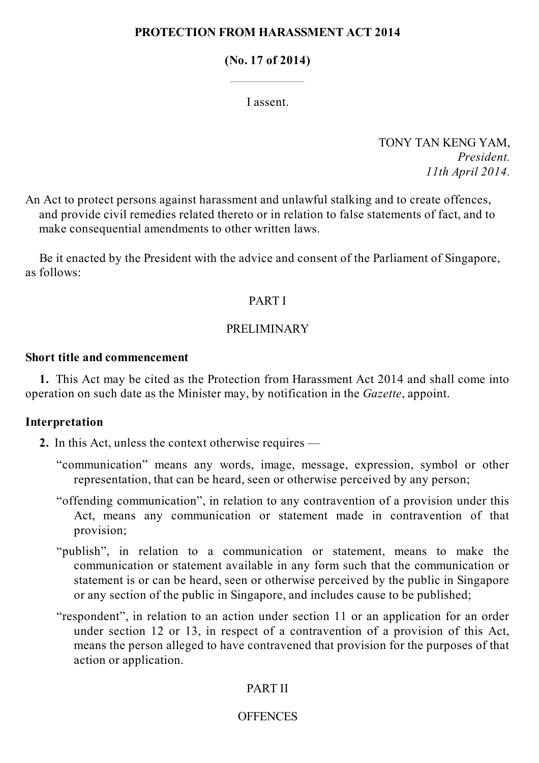## **PROTECTION FROM HARASSMENT ACT 2014**

## **(No. 17 of 2014)**

I assent.

TONY TAN KENG YAM, *President. 11th April 2014.*

An Act to protect persons against harassment and unlawful stalking and to create offences, and provide civil remedies related thereto or in relation to false statements of fact, and to make consequential amendments to other written laws.

Be it enacted by the President with the advice and consent of the Parliament of Singapore, as follows:

## PART I

## PRELIMINARY

## **Short title and commencement**

**1.** This Act may be cited as the Protection from Harassment Act 2014 and shall come into operation on such date as the Minister may, by notification in the *Gazette*, appoint.

## **Interpretation**

**2.** In this Act, unless the context otherwise requires —

- "communication" means any words, image, message, expression, symbol or other representation, that can be heard, seen or otherwise perceived by any person;
- "offending communication", in relation to any contravention of a provision under this Act, means any communication or statement made in contravention of that provision;
- "publish", in relation to a communication or statement, means to make the communication or statement available in any form such that the communication or statement is or can be heard, seen or otherwise perceived by the public in Singapore or any section of the public in Singapore, and includes cause to be published;
- "respondent", in relation to an action under section 11 or an application for an order under section 12 or 13, in respect of a contravention of a provision of this Act, means the person alleged to have contravened that provision for the purposes of that action or application.

# PART II

# **OFFENCES**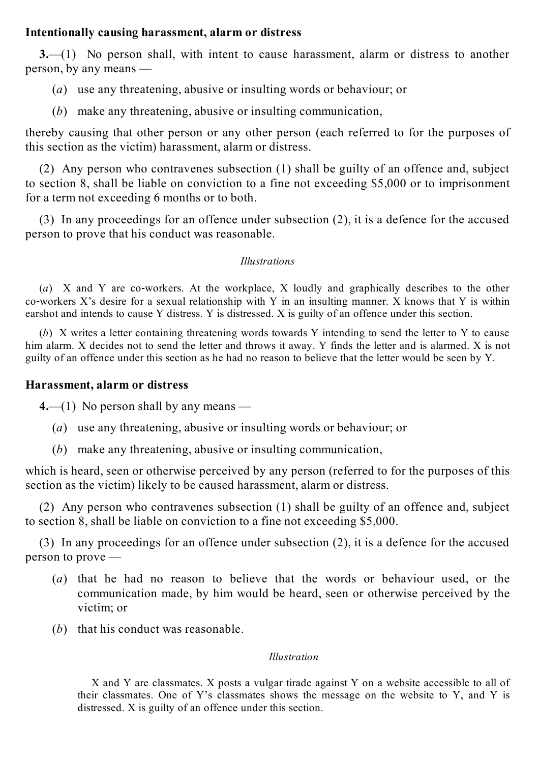## **Intentionally causing harassment, alarm or distress**

**3.**—(1) No person shall, with intent to cause harassment, alarm or distress to another person, by any means —

- (*a*) use any threatening, abusive or insulting words or behaviour; or
- (*b*) make any threatening, abusive or insulting communication,

thereby causing that other person or any other person (each referred to for the purposes of this section as the victim) harassment, alarm or distress.

(2) Any person who contravenes subsection (1) shall be guilty of an offence and, subject to section 8, shall be liable on conviction to a fine not exceeding \$5,000 or to imprisonment for a term not exceeding 6 months or to both.

(3) In any proceedings for an offence under subsection (2), it is a defence for the accused person to prove that his conduct was reasonable.

## *Illustrations*

(*a*) X and Y are co-workers. At the workplace, X loudly and graphically describes to the other co-workers X's desire for a sexual relationship with Y in an insulting manner. X knows that Y is within earshot and intends to cause Y distress. Y is distressed. X is guilty of an offence under this section.

(*b*) X writes a letter containing threatening words towards Y intending to send the letter to Y to cause him alarm. X decides not to send the letter and throws it away. Y finds the letter and is alarmed. X is not guilty of an offence under this section as he had no reason to believe that the letter would be seen by Y.

## **Harassment, alarm or distress**

**4.**—(1) No person shall by any means —

- (*a*) use any threatening, abusive or insulting words or behaviour; or
- (*b*) make any threatening, abusive or insulting communication,

which is heard, seen or otherwise perceived by any person (referred to for the purposes of this section as the victim) likely to be caused harassment, alarm or distress.

(2) Any person who contravenes subsection (1) shall be guilty of an offence and, subject to section 8, shall be liable on conviction to a fine not exceeding \$5,000.

(3) In any proceedings for an offence under subsection (2), it is a defence for the accused person to prove —

- (*a*) that he had no reason to believe that the words or behaviour used, or the communication made, by him would be heard, seen or otherwise perceived by the victim; or
- (*b*) that his conduct was reasonable.

## *Illustration*

X and Y are classmates. X posts a vulgar tirade against Y on a website accessible to all of their classmates. One of Y's classmates shows the message on the website to Y, and Y is distressed. X is guilty of an offence under this section.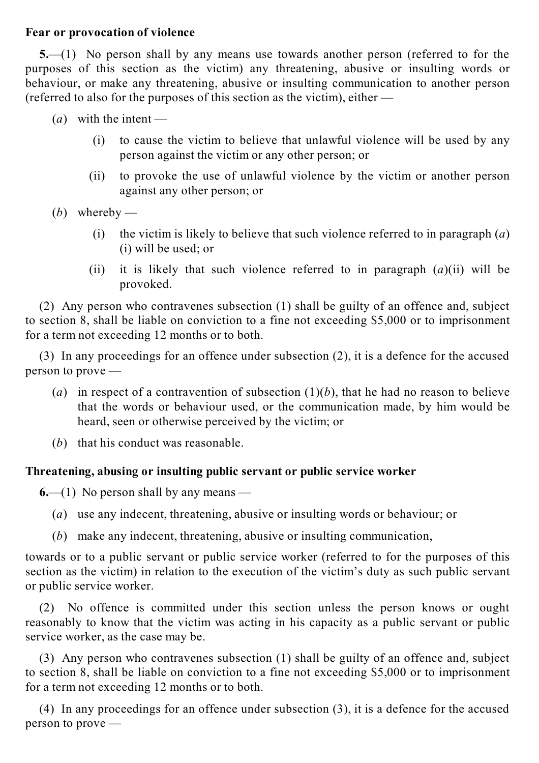## **Fear or provocation of violence**

**5.**—(1) No person shall by any means use towards another person (referred to for the purposes of this section as the victim) any threatening, abusive or insulting words or behaviour, or make any threatening, abusive or insulting communication to another person (referred to also for the purposes of this section as the victim), either —

- $(a)$  with the intent
	- (i) to cause the victim to believe that unlawful violence will be used by any person against the victim or any other person; or
	- (ii) to provoke the use of unlawful violence by the victim or another person against any other person; or
- (*b*) whereby
	- (i) the victim is likely to believe that such violence referred to in paragraph (*a*) (i) will be used; or
	- (ii) it is likely that such violence referred to in paragraph (*a*)(ii) will be provoked.

(2) Any person who contravenes subsection (1) shall be guilty of an offence and, subject to section 8, shall be liable on conviction to a fine not exceeding \$5,000 or to imprisonment for a term not exceeding 12 months or to both.

(3) In any proceedings for an offence under subsection (2), it is a defence for the accused person to prove —

- (*a*) in respect of a contravention of subsection  $(1)(b)$ , that he had no reason to believe that the words or behaviour used, or the communication made, by him would be heard, seen or otherwise perceived by the victim; or
- (*b*) that his conduct was reasonable.

# **Threatening, abusing or insulting public servant or public service worker**

**6.**—(1) No person shall by any means —

- (*a*) use any indecent, threatening, abusive or insulting words or behaviour; or
- (*b*) make any indecent, threatening, abusive or insulting communication,

towards or to a public servant or public service worker (referred to for the purposes of this section as the victim) in relation to the execution of the victim's duty as such public servant or public service worker.

(2) No offence is committed under this section unless the person knows or ought reasonably to know that the victim was acting in his capacity as a public servant or public service worker, as the case may be.

(3) Any person who contravenes subsection (1) shall be guilty of an offence and, subject to section 8, shall be liable on conviction to a fine not exceeding \$5,000 or to imprisonment for a term not exceeding 12 months or to both.

(4) In any proceedings for an offence under subsection (3), it is a defence for the accused person to prove —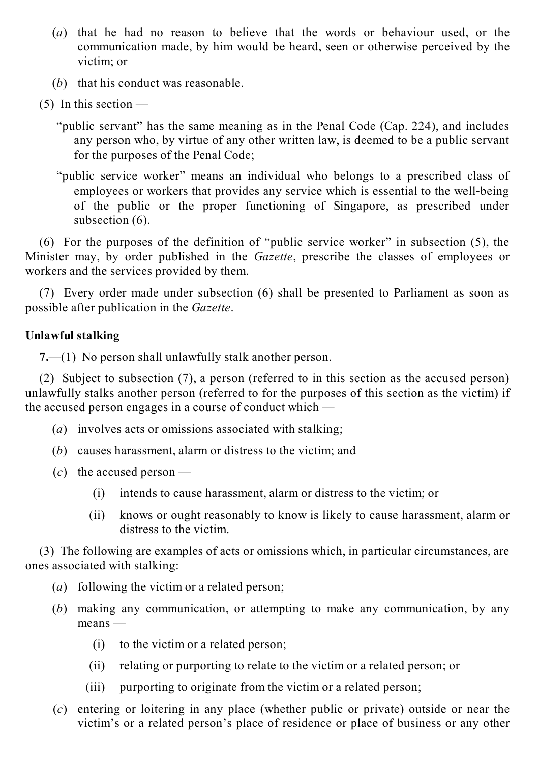- (*a*) that he had no reason to believe that the words or behaviour used, or the communication made, by him would be heard, seen or otherwise perceived by the victim; or
- (*b*) that his conduct was reasonable.
- $(5)$  In this section
	- "public servant" has the same meaning as in the Penal Code (Cap. 224), and includes any person who, by virtue of any other written law, is deemed to be a public servant for the purposes of the Penal Code;
	- "public service worker" means an individual who belongs to a prescribed class of employees or workers that provides any service which is essential to the well-being of the public or the proper functioning of Singapore, as prescribed under subsection  $(6)$ .

(6) For the purposes of the definition of "public service worker" in subsection (5), the Minister may, by order published in the *Gazette*, prescribe the classes of employees or workers and the services provided by them.

(7) Every order made under subsection (6) shall be presented to Parliament as soon as possible after publication in the *Gazette*.

# **Unlawful stalking**

**7.**—(1) No person shall unlawfully stalk another person.

(2) Subject to subsection (7), a person (referred to in this section as the accused person) unlawfully stalks another person (referred to for the purposes of this section as the victim) if the accused person engages in a course of conduct which —

- (*a*) involves acts or omissions associated with stalking;
- (*b*) causes harassment, alarm or distress to the victim; and
- $(c)$  the accused person
	- (i) intends to cause harassment, alarm or distress to the victim; or
	- (ii) knows or ought reasonably to know is likely to cause harassment, alarm or distress to the victim.

(3) The following are examples of acts or omissions which, in particular circumstances, are ones associated with stalking:

- (*a*) following the victim or a related person;
- (*b*) making any communication, or attempting to make any communication, by any means —
	- (i) to the victim or a related person;
	- (ii) relating or purporting to relate to the victim or a related person; or
	- $(iii)$ purporting to originate from the victim or a related person;
- (*c*) entering or loitering in any place (whether public or private) outside or near the victim's or a related person's place of residence or place of business or any other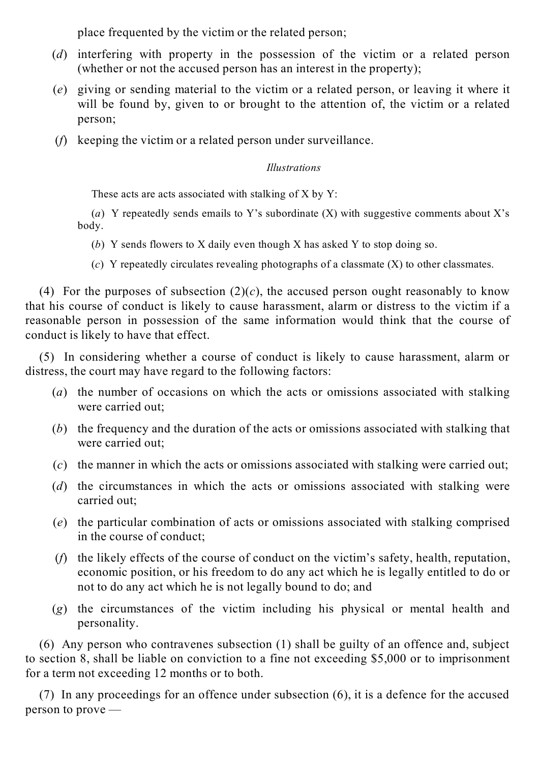place frequented by the victim or the related person;

- (*d*) interfering with property in the possession of the victim or a related person (whether or not the accused person has an interest in the property);
- (*e*) giving or sending material to the victim or a related person, or leaving it where it will be found by, given to or brought to the attention of, the victim or a related person;
- (*f*) keeping the victim or a related person under surveillance.

# *Illustrations*

These acts are acts associated with stalking of  $X$  by  $Y$ :

(*a*) Y repeatedly sends emails to Y's subordinate (X) with suggestive comments about X's body.

- (*b*) Y sends flowers to X daily even though X has asked Y to stop doing so.
- (*c*) Y repeatedly circulates revealing photographs of a classmate (X) to other classmates.

(4) For the purposes of subsection  $(2)(c)$ , the accused person ought reasonably to know that his course of conduct is likely to cause harassment, alarm or distress to the victim if a reasonable person in possession of the same information would think that the course of conduct is likely to have that effect.

(5) In considering whether a course of conduct is likely to cause harassment, alarm or distress, the court may have regard to the following factors:

- (*a*) the number of occasions on which the acts or omissions associated with stalking were carried out;
- (*b*) the frequency and the duration of the acts or omissions associated with stalking that were carried out;
- (*c*) the manner in which the acts or omissions associated with stalking were carried out;
- (*d*) the circumstances in which the acts or omissions associated with stalking were carried out;
- (*e*) the particular combination of acts or omissions associated with stalking comprised in the course of conduct;
- (*f*) the likely effects of the course of conduct on the victim's safety, health, reputation, economic position, or his freedom to do any act which he is legally entitled to do or not to do any act which he is not legally bound to do; and
- (*g*) the circumstances of the victim including his physical or mental health and personality.

(6) Any person who contravenes subsection (1) shall be guilty of an offence and, subject to section 8, shall be liable on conviction to a fine not exceeding \$5,000 or to imprisonment for a term not exceeding 12 months or to both.

(7) In any proceedings for an offence under subsection (6), it is a defence for the accused person to prove —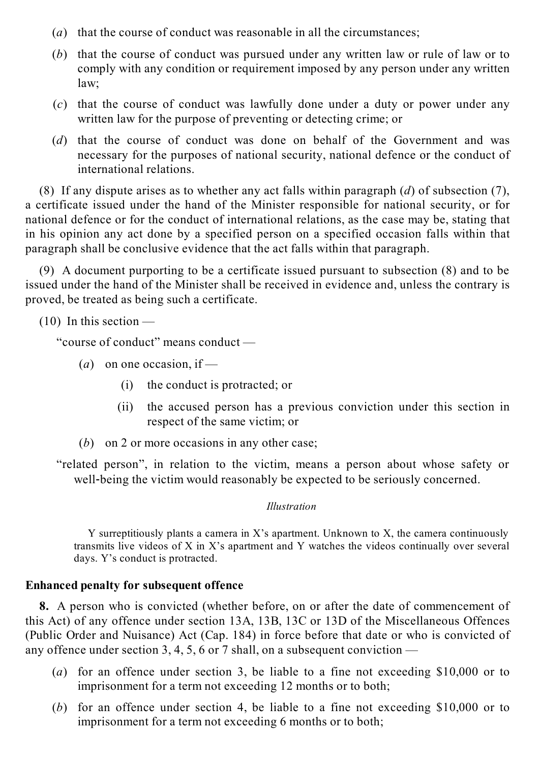- (*a*) that the course of conduct was reasonable in all the circumstances;
- (*b*) that the course of conduct was pursued under any written law or rule of law or to comply with any condition or requirement imposed by any person under any written law;
- (*c*) that the course of conduct was lawfully done under a duty or power under any written law for the purpose of preventing or detecting crime; or
- (*d*) that the course of conduct was done on behalf of the Government and was necessary for the purposes of national security, national defence or the conduct of international relations.

(8) If any dispute arises as to whether any act falls within paragraph (*d*) of subsection (7), a certificate issued under the hand of the Minister responsible for national security, or for national defence or for the conduct of international relations, as the case may be, stating that in his opinion any act done by a specified person on a specified occasion falls within that paragraph shall be conclusive evidence that the act falls within that paragraph.

(9) A document purporting to be a certificate issued pursuant to subsection (8) and to be issued under the hand of the Minister shall be received in evidence and, unless the contrary is proved, be treated as being such a certificate.

 $(10)$  In this section —

"course of conduct" means conduct —

- (*a*) on one occasion, if
	- (i) the conduct is protracted; or
	- (ii) the accused person has a previous conviction under this section in respect of the same victim; or
- (*b*) on 2 or more occasions in any other case;

"related person", in relation to the victim, means a person about whose safety or well-being the victim would reasonably be expected to be seriously concerned.

## *Illustration*

Y surreptitiously plants a camera in X's apartment. Unknown to X, the camera continuously transmits live videos of X in X's apartment and Y watches the videos continually over several days. Y's conduct is protracted.

# **Enhanced penalty for subsequent offence**

**8.** A person who is convicted (whether before, on or after the date of commencement of this Act) of any offence under section 13A, 13B, 13C or 13D of the Miscellaneous Offences (Public Order and Nuisance) Act (Cap. 184) in force before that date or who is convicted of any offence under section 3, 4, 5, 6 or 7 shall, on a subsequent conviction  $-$ 

- (*a*) for an offence under section 3, be liable to a fine not exceeding \$10,000 or to imprisonment for a term not exceeding 12 months or to both;
- (*b*) for an offence under section 4, be liable to a fine not exceeding \$10,000 or to imprisonment for a term not exceeding 6 months or to both;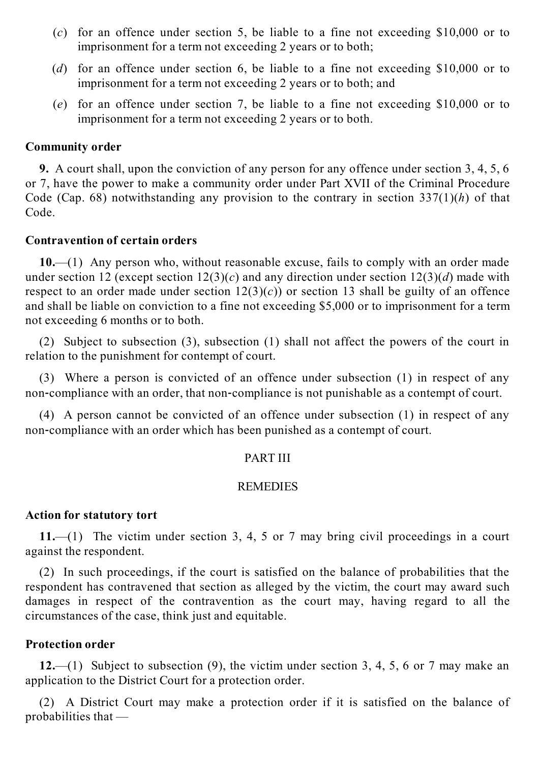- (*c*) for an offence under section 5, be liable to a fine not exceeding \$10,000 or to imprisonment for a term not exceeding 2 years or to both;
- (*d*) for an offence under section 6, be liable to a fine not exceeding \$10,000 or to imprisonment for a term not exceeding 2 years or to both; and
- (*e*) for an offence under section 7, be liable to a fine not exceeding \$10,000 or to imprisonment for a term not exceeding 2 years or to both.

## **Community order**

**9.** A court shall, upon the conviction of any person for any offence under section 3, 4, 5, 6 or 7, have the power to make a community order under Part XVII of the Criminal Procedure Code (Cap. 68) notwithstanding any provision to the contrary in section 337(1)(*h*) of that Code.

## **Contravention of certain orders**

**10.**—(1) Any person who, without reasonable excuse, fails to comply with an order made under section 12 (except section 12(3)(*c*) and any direction under section 12(3)(*d*) made with respect to an order made under section  $12(3)(c)$  or section 13 shall be guilty of an offence and shall be liable on conviction to a fine not exceeding \$5,000 or to imprisonment for a term not exceeding 6 months or to both.

(2) Subject to subsection (3), subsection (1) shall not affect the powers of the court in relation to the punishment for contempt of court.

(3) Where a person is convicted of an offence under subsection (1) in respect of any non-compliance with an order, that non-compliance is not punishable as a contempt of court.

(4) A person cannot be convicted of an offence under subsection (1) in respect of any non‑compliance with an order which has been punished as a contempt of court.

## PART III

## **REMEDIES**

## **Action for statutory tort**

**11.**—(1) The victim under section 3, 4, 5 or 7 may bring civil proceedings in a court against the respondent.

(2) In such proceedings, if the court is satisfied on the balance of probabilities that the respondent has contravened that section as alleged by the victim, the court may award such damages in respect of the contravention as the court may, having regard to all the circumstances of the case, think just and equitable.

# **Protection order**

**12.**—(1) Subject to subsection (9), the victim under section 3, 4, 5, 6 or 7 may make an application to the District Court for a protection order.

(2) A District Court may make a protection order if it is satisfied on the balance of probabilities that —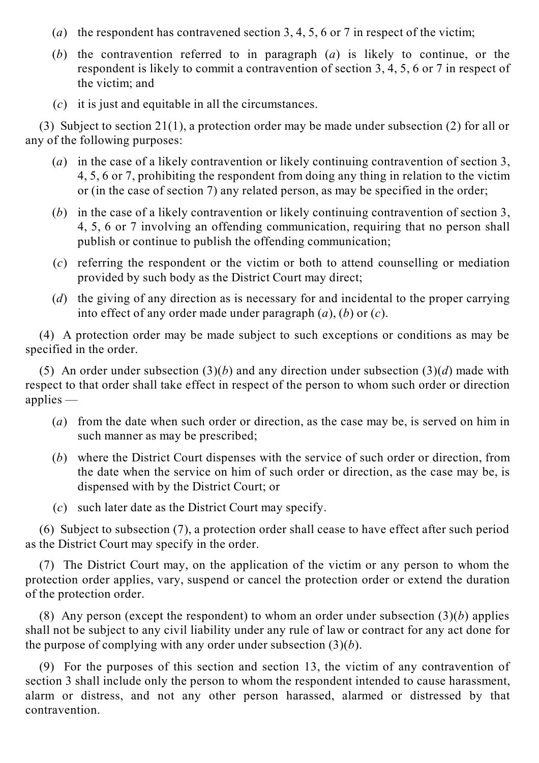- (*a*) the respondent has contravened section 3, 4, 5, 6 or 7 in respect of the victim;
- (*b*) the contravention referred to in paragraph (*a*) is likely to continue, or the respondent is likely to commit a contravention of section 3, 4, 5, 6 or 7 in respect of the victim; and
- (*c*) it is just and equitable in all the circumstances.

(3) Subject to section 21(1), a protection order may be made under subsection (2) for all or any of the following purposes:

- (*a*) in the case of a likely contravention or likely continuing contravention of section 3, 4, 5, 6 or 7, prohibiting the respondent from doing any thing in relation to the victim or (in the case of section 7) any related person, as may be specified in the order;
- (*b*) in the case of a likely contravention or likely continuing contravention of section 3, 4, 5, 6 or 7 involving an offending communication, requiring that no person shall publish or continue to publish the offending communication;
- (*c*) referring the respondent or the victim or both to attend counselling or mediation provided by such body as the District Court may direct;
- (*d*) the giving of any direction as is necessary for and incidental to the proper carrying into effect of any order made under paragraph (*a*), (*b*) or (*c*).

(4) A protection order may be made subject to such exceptions or conditions as may be specified in the order.

(5) An order under subsection (3)(*b*) and any direction under subsection (3)(*d*) made with respect to that order shall take effect in respect of the person to whom such order or direction applies —

- (*a*) from the date when such order or direction, as the case may be, is served on him in such manner as may be prescribed;
- (*b*) where the District Court dispenses with the service of such order or direction, from the date when the service on him of such order or direction, as the case may be, is dispensed with by the District Court; or
- (*c*) such later date as the District Court may specify.

(6) Subject to subsection (7), a protection order shall cease to have effect after such period as the District Court may specify in the order.

(7) The District Court may, on the application of the victim or any person to whom the protection order applies, vary, suspend or cancel the protection order or extend the duration of the protection order.

(8) Any person (except the respondent) to whom an order under subsection (3)(*b*) applies shall not be subject to any civil liability under any rule of law or contract for any act done for the purpose of complying with any order under subsection (3)(*b*).

(9) For the purposes of this section and section 13, the victim of any contravention of section 3 shall include only the person to whom the respondent intended to cause harassment, alarm or distress, and not any other person harassed, alarmed or distressed by that contravention.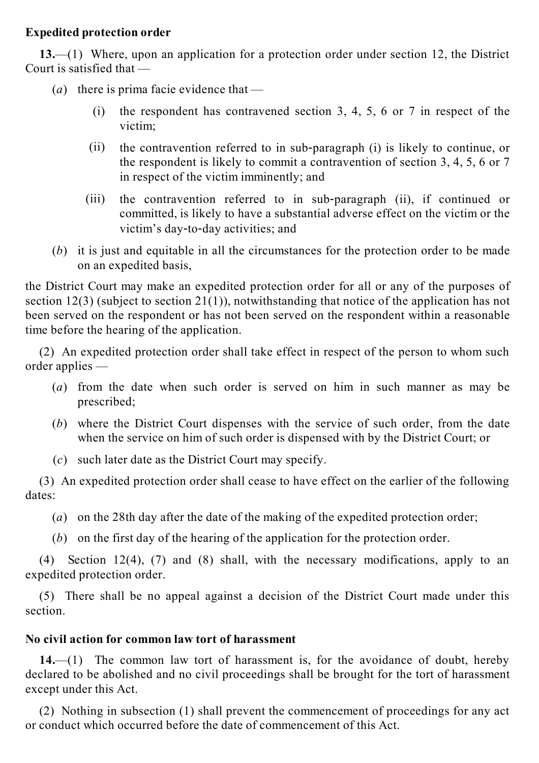## **Expedited protection order**

**13.**—(1) Where, upon an application for a protection order under section 12, the District Court is satisfied that —

(*a*) there is prima facie evidence that —

- (i) the respondent has contravened section 3, 4, 5, 6 or 7 in respect of the victim;
- (ii) the contravention referred to in sub‑paragraph (i) is likely to continue, or the respondent is likely to commit a contravention of section 3, 4, 5, 6 or 7 in respect of the victim imminently; and
- $(iii)$ the contravention referred to in sub-paragraph (ii), if continued or committed, is likely to have a substantial adverse effect on the victim or the victim's day‑to‑day activities; and
- (*b*) it is just and equitable in all the circumstances for the protection order to be made on an expedited basis,

the District Court may make an expedited protection order for all or any of the purposes of section 12(3) (subject to section 21(1)), notwithstanding that notice of the application has not been served on the respondent or has not been served on the respondent within a reasonable time before the hearing of the application.

(2) An expedited protection order shall take effect in respect of the person to whom such order applies —

- (*a*) from the date when such order is served on him in such manner as may be prescribed;
- (*b*) where the District Court dispenses with the service of such order, from the date when the service on him of such order is dispensed with by the District Court; or
- (*c*) such later date as the District Court may specify.

(3) An expedited protection order shall cease to have effect on the earlier of the following dates:

- (*a*) on the 28th day after the date of the making of the expedited protection order;
- (*b*) on the first day of the hearing of the application for the protection order.

(4) Section 12(4), (7) and (8) shall, with the necessary modifications, apply to an expedited protection order.

(5) There shall be no appeal against a decision of the District Court made under this section.

# **No civil action for common law tort of harassment**

**14.**—(1) The common law tort of harassment is, for the avoidance of doubt, hereby declared to be abolished and no civil proceedings shall be brought for the tort of harassment except under this Act.

(2) Nothing in subsection (1) shall prevent the commencement of proceedings for any act or conduct which occurred before the date of commencement of this Act.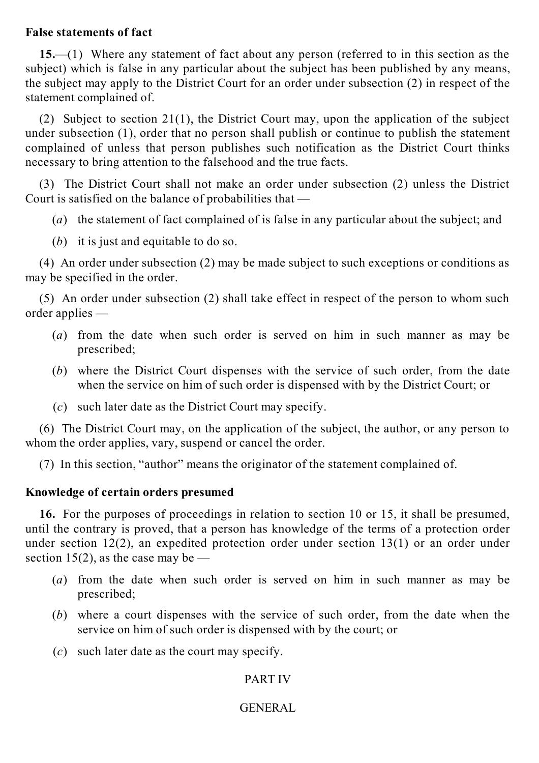## **False statements of fact**

**15.**—(1) Where any statement of fact about any person (referred to in this section as the subject) which is false in any particular about the subject has been published by any means, the subject may apply to the District Court for an order under subsection (2) in respect of the statement complained of.

(2) Subject to section 21(1), the District Court may, upon the application of the subject under subsection (1), order that no person shall publish or continue to publish the statement complained of unless that person publishes such notification as the District Court thinks necessary to bring attention to the falsehood and the true facts.

(3) The District Court shall not make an order under subsection (2) unless the District Court is satisfied on the balance of probabilities that —

- (*a*) the statement of fact complained of is false in any particular about the subject; and
- (*b*) it is just and equitable to do so.

(4) An order under subsection (2) may be made subject to such exceptions or conditions as may be specified in the order.

(5) An order under subsection (2) shall take effect in respect of the person to whom such order applies —

- (*a*) from the date when such order is served on him in such manner as may be prescribed;
- (*b*) where the District Court dispenses with the service of such order, from the date when the service on him of such order is dispensed with by the District Court; or
- (*c*) such later date as the District Court may specify.

(6) The District Court may, on the application of the subject, the author, or any person to whom the order applies, vary, suspend or cancel the order.

(7) In this section, "author" means the originator of the statement complained of.

# **Knowledge of certain orders presumed**

**16.** For the purposes of proceedings in relation to section 10 or 15, it shall be presumed, until the contrary is proved, that a person has knowledge of the terms of a protection order under section 12(2), an expedited protection order under section 13(1) or an order under section 15(2), as the case may be —

- (*a*) from the date when such order is served on him in such manner as may be prescribed;
- (*b*) where a court dispenses with the service of such order, from the date when the service on him of such order is dispensed with by the court; or
- (*c*) such later date as the court may specify.

# PART IV

# GENERAL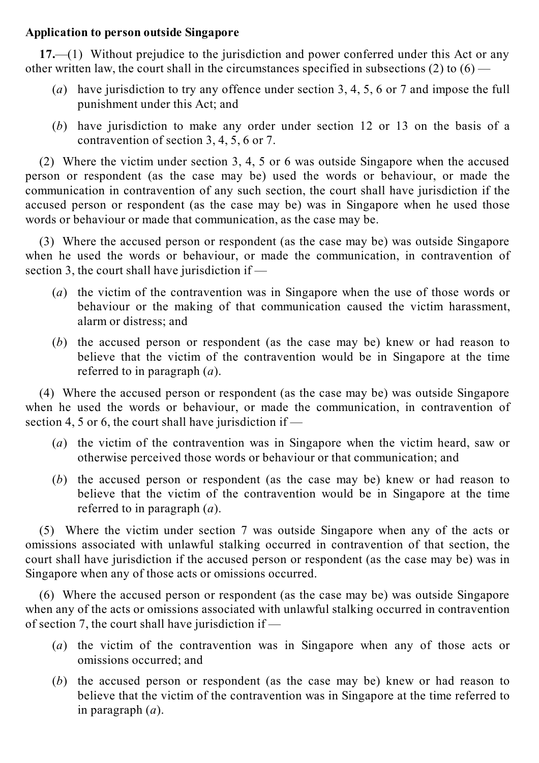## **Application to person outside Singapore**

**17.**—(1) Without prejudice to the jurisdiction and power conferred under this Act or any other written law, the court shall in the circumstances specified in subsections  $(2)$  to  $(6)$  —

- (*a*) have jurisdiction to try any offence under section 3, 4, 5, 6 or 7 and impose the full punishment under this Act; and
- (*b*) have jurisdiction to make any order under section 12 or 13 on the basis of a contravention of section 3, 4, 5, 6 or 7.

(2) Where the victim under section 3, 4, 5 or 6 was outside Singapore when the accused person or respondent (as the case may be) used the words or behaviour, or made the communication in contravention of any such section, the court shall have jurisdiction if the accused person or respondent (as the case may be) was in Singapore when he used those words or behaviour or made that communication, as the case may be.

(3) Where the accused person or respondent (as the case may be) was outside Singapore when he used the words or behaviour, or made the communication, in contravention of section 3, the court shall have jurisdiction if —

- (*a*) the victim of the contravention was in Singapore when the use of those words or behaviour or the making of that communication caused the victim harassment, alarm or distress; and
- (*b*) the accused person or respondent (as the case may be) knew or had reason to believe that the victim of the contravention would be in Singapore at the time referred to in paragraph (*a*).

(4) Where the accused person or respondent (as the case may be) was outside Singapore when he used the words or behaviour, or made the communication, in contravention of section 4, 5 or 6, the court shall have jurisdiction if —

- (*a*) the victim of the contravention was in Singapore when the victim heard, saw or otherwise perceived those words or behaviour or that communication; and
- (*b*) the accused person or respondent (as the case may be) knew or had reason to believe that the victim of the contravention would be in Singapore at the time referred to in paragraph (*a*).

(5) Where the victim under section 7 was outside Singapore when any of the acts or omissions associated with unlawful stalking occurred in contravention of that section, the court shall have jurisdiction if the accused person or respondent (as the case may be) was in Singapore when any of those acts or omissions occurred.

(6) Where the accused person or respondent (as the case may be) was outside Singapore when any of the acts or omissions associated with unlawful stalking occurred in contravention of section 7, the court shall have jurisdiction if —

- (*a*) the victim of the contravention was in Singapore when any of those acts or omissions occurred; and
- (*b*) the accused person or respondent (as the case may be) knew or had reason to believe that the victim of the contravention was in Singapore at the time referred to in paragraph (*a*).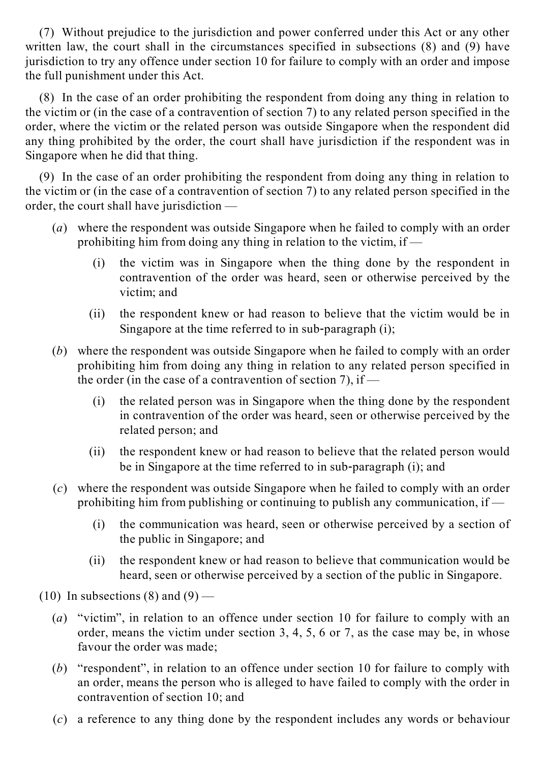(7) Without prejudice to the jurisdiction and power conferred under this Act or any other written law, the court shall in the circumstances specified in subsections (8) and (9) have jurisdiction to try any offence under section 10 for failure to comply with an order and impose the full punishment under this Act.

(8) In the case of an order prohibiting the respondent from doing any thing in relation to the victim or (in the case of a contravention of section 7) to any related person specified in the order, where the victim or the related person was outside Singapore when the respondent did any thing prohibited by the order, the court shall have jurisdiction if the respondent was in Singapore when he did that thing.

(9) In the case of an order prohibiting the respondent from doing any thing in relation to the victim or (in the case of a contravention of section 7) to any related person specified in the order, the court shall have jurisdiction —

- (*a*) where the respondent was outside Singapore when he failed to comply with an order prohibiting him from doing any thing in relation to the victim, if —
	- (i) the victim was in Singapore when the thing done by the respondent in contravention of the order was heard, seen or otherwise perceived by the victim; and
	- (ii) the respondent knew or had reason to believe that the victim would be in Singapore at the time referred to in sub-paragraph  $(i)$ ;
- (*b*) where the respondent was outside Singapore when he failed to comply with an order prohibiting him from doing any thing in relation to any related person specified in the order (in the case of a contravention of section 7), if —
	- (i) the related person was in Singapore when the thing done by the respondent in contravention of the order was heard, seen or otherwise perceived by the related person; and
	- (ii) the respondent knew or had reason to believe that the related person would be in Singapore at the time referred to in sub-paragraph (i); and
- (*c*) where the respondent was outside Singapore when he failed to comply with an order prohibiting him from publishing or continuing to publish any communication, if —
	- (i) the communication was heard, seen or otherwise perceived by a section of the public in Singapore; and
	- (ii) the respondent knew or had reason to believe that communication would be heard, seen or otherwise perceived by a section of the public in Singapore.
- $(10)$  In subsections  $(8)$  and  $(9)$ 
	- (*a*) "victim", in relation to an offence under section 10 for failure to comply with an order, means the victim under section 3, 4, 5, 6 or 7, as the case may be, in whose favour the order was made;
	- (*b*) "respondent", in relation to an offence under section 10 for failure to comply with an order, means the person who is alleged to have failed to comply with the order in contravention of section 10; and
	- (*c*) a reference to any thing done by the respondent includes any words or behaviour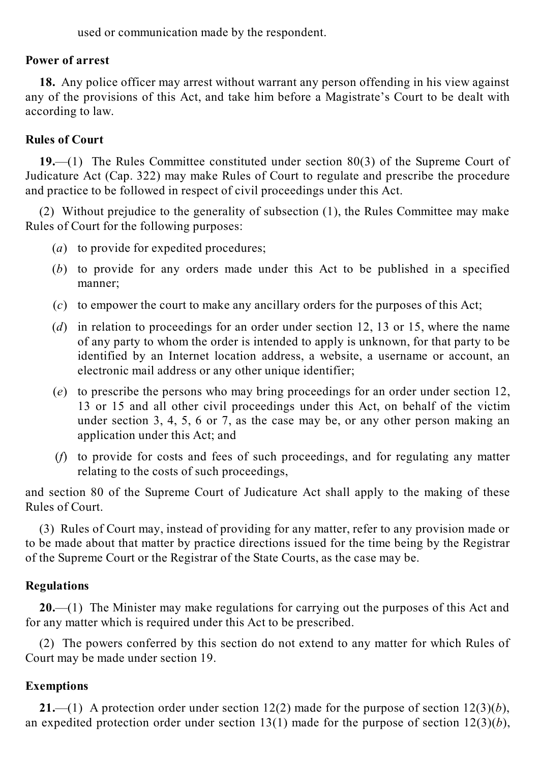used or communication made by the respondent.

# **Power of arrest**

**18.** Any police officer may arrest without warrant any person offending in his view against any of the provisions of this Act, and take him before a Magistrate's Court to be dealt with according to law.

# **Rules of Court**

**19.**—(1) The Rules Committee constituted under section 80(3) of the Supreme Court of Judicature Act (Cap. 322) may make Rules of Court to regulate and prescribe the procedure and practice to be followed in respect of civil proceedings under this Act.

(2) Without prejudice to the generality of subsection (1), the Rules Committee may make Rules of Court for the following purposes:

- (*a*) to provide for expedited procedures;
- (*b*) to provide for any orders made under this Act to be published in a specified manner;
- (*c*) to empower the court to make any ancillary orders for the purposes of this Act;
- (*d*) in relation to proceedings for an order under section 12, 13 or 15, where the name of any party to whom the order is intended to apply is unknown, for that party to be identified by an Internet location address, a website, a username or account, an electronic mail address or any other unique identifier;
- (*e*) to prescribe the persons who may bring proceedings for an order under section 12, 13 or 15 and all other civil proceedings under this Act, on behalf of the victim under section 3, 4, 5, 6 or 7, as the case may be, or any other person making an application under this Act; and
- (*f*) to provide for costs and fees of such proceedings, and for regulating any matter relating to the costs of such proceedings,

and section 80 of the Supreme Court of Judicature Act shall apply to the making of these Rules of Court.

(3) Rules of Court may, instead of providing for any matter, refer to any provision made or to be made about that matter by practice directions issued for the time being by the Registrar of the Supreme Court or the Registrar of the State Courts, as the case may be.

# **Regulations**

**20.**—(1) The Minister may make regulations for carrying out the purposes of this Act and for any matter which is required under this Act to be prescribed.

(2) The powers conferred by this section do not extend to any matter for which Rules of Court may be made under section 19.

# **Exemptions**

**21.**—(1) A protection order under section 12(2) made for the purpose of section 12(3)(*b*), an expedited protection order under section 13(1) made for the purpose of section  $12(3)(b)$ ,